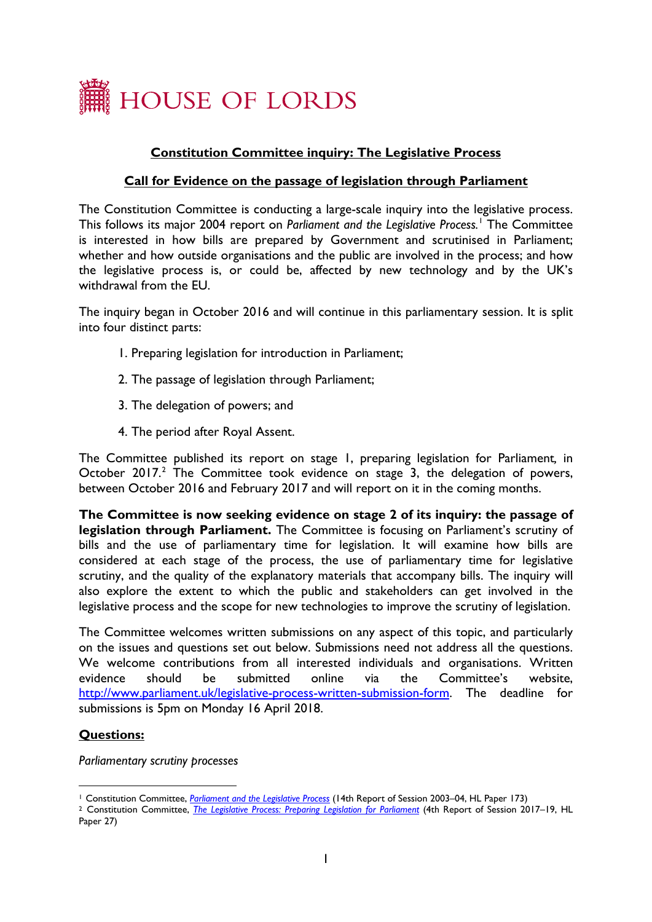

# **Constitution Committee inquiry: The Legislative Process**

### **Call for Evidence on the passage of legislation through Parliament**

The Constitution Committee is conducting a large-scale inquiry into the legislative process. This follows its major 2004 report on *Parliament and the Legislative Process.*[1](#page-0-0) The Committee is interested in how bills are prepared by Government and scrutinised in Parliament; whether and how outside organisations and the public are involved in the process; and how the legislative process is, or could be, affected by new technology and by the UK's withdrawal from the EU.

The inquiry began in October 2016 and will continue in this parliamentary session. It is split into four distinct parts:

- 1. Preparing legislation for introduction in Parliament;
- 2. The passage of legislation through Parliament;
- 3. The delegation of powers; and
- 4. The period after Royal Assent.

The Committee published its report on stage 1, preparing legislation for Parliament*,* in October [2](#page-0-1)017.<sup>2</sup> The Committee took evidence on stage 3, the delegation of powers, between October 2016 and February 2017 and will report on it in the coming months.

**The Committee is now seeking evidence on stage 2 of its inquiry: the passage of legislation through Parliament.** The Committee is focusing on Parliament's scrutiny of bills and the use of parliamentary time for legislation. It will examine how bills are considered at each stage of the process, the use of parliamentary time for legislative scrutiny, and the quality of the explanatory materials that accompany bills. The inquiry will also explore the extent to which the public and stakeholders can get involved in the legislative process and the scope for new technologies to improve the scrutiny of legislation.

The Committee welcomes written submissions on any aspect of this topic, and particularly on the issues and questions set out below. Submissions need not address all the questions. We welcome contributions from all interested individuals and organisations. Written evidence should be submitted online via the Committee's website, [http://www.parliament.uk/legislative-process-written-submission-form.](http://www.parliament.uk/legislative-process-written-submission-form) The deadline for submissions is 5pm on Monday 16 April 2018.

#### **Questions:**

*Parliamentary scrutiny processes*

<sup>1</sup> Constitution Committee, *[Parliament and the Legislative Process](http://www.publications.parliament.uk/pa/ld200304/ldselect/ldconst/173/17302.htm)* (14th Report of Session 2003–04, HL Paper 173)

<span id="page-0-1"></span><span id="page-0-0"></span><sup>2</sup> Constitution Committee, *[The Legislative Process: Preparing Legislation for Parliament](https://publications.parliament.uk/pa/ld201719/ldselect/ldconst/27/2702.htm)* (4th Report of Session 2017–19, HL Paper 27)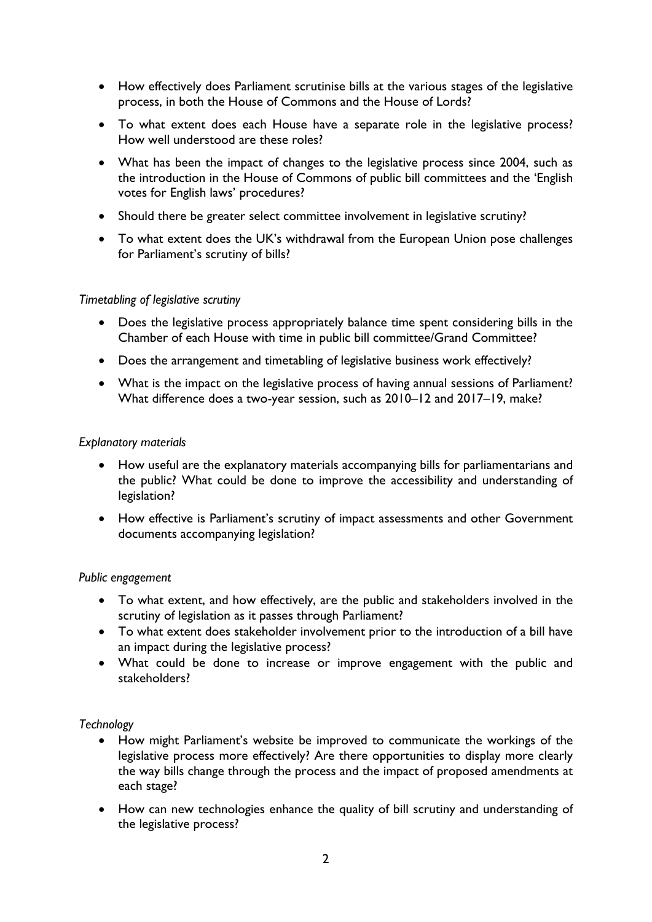- How effectively does Parliament scrutinise bills at the various stages of the legislative process, in both the House of Commons and the House of Lords?
- To what extent does each House have a separate role in the legislative process? How well understood are these roles?
- What has been the impact of changes to the legislative process since 2004, such as the introduction in the House of Commons of public bill committees and the 'English votes for English laws' procedures?
- Should there be greater select committee involvement in legislative scrutiny?
- To what extent does the UK's withdrawal from the European Union pose challenges for Parliament's scrutiny of bills?

### *Timetabling of legislative scrutiny*

- Does the legislative process appropriately balance time spent considering bills in the Chamber of each House with time in public bill committee/Grand Committee?
- Does the arrangement and timetabling of legislative business work effectively?
- What is the impact on the legislative process of having annual sessions of Parliament? What difference does a two-year session, such as 2010–12 and 2017–19, make?

### *Explanatory materials*

- How useful are the explanatory materials accompanying bills for parliamentarians and the public? What could be done to improve the accessibility and understanding of legislation?
- How effective is Parliament's scrutiny of impact assessments and other Government documents accompanying legislation?

#### *Public engagement*

- To what extent, and how effectively, are the public and stakeholders involved in the scrutiny of legislation as it passes through Parliament?
- To what extent does stakeholder involvement prior to the introduction of a bill have an impact during the legislative process?
- What could be done to increase or improve engagement with the public and stakeholders?

## *Technology*

- How might Parliament's website be improved to communicate the workings of the legislative process more effectively? Are there opportunities to display more clearly the way bills change through the process and the impact of proposed amendments at each stage?
- How can new technologies enhance the quality of bill scrutiny and understanding of the legislative process?